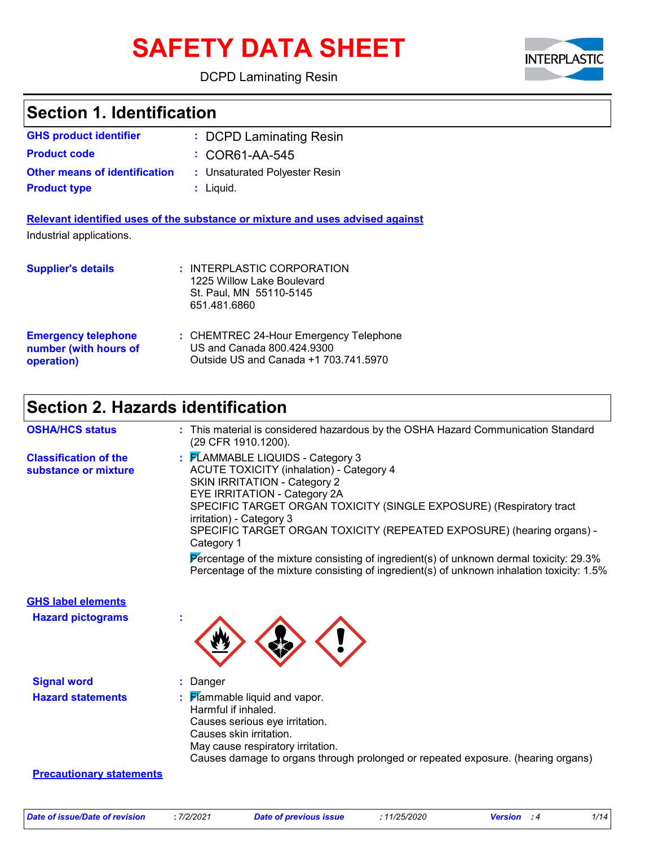# **SAFETY DATA SHEET**

DCPD Laminating Resin



### **Section 1. Identification**

| <b>GHS product identifier</b>        | : DCPD Laminating Resin       |
|--------------------------------------|-------------------------------|
| <b>Product code</b>                  | $\div$ COR61-AA-545           |
| <b>Other means of identification</b> | : Unsaturated Polyester Resin |
| <b>Product type</b>                  | $:$ Liquid.                   |
|                                      |                               |

**Relevant identified uses of the substance or mixture and uses advised against** Industrial applications.

| <b>Supplier's details</b>  | : INTERPLASTIC CORPORATION<br>1225 Willow Lake Boulevard<br>St. Paul, MN 55110-5145<br>651.481.6860 |
|----------------------------|-----------------------------------------------------------------------------------------------------|
| <b>Emergency telephone</b> | : CHEMTREC 24-Hour Emergency Telephone                                                              |
| number (with hours of      | US and Canada 800.424.9300                                                                          |
| operation)                 | Outside US and Canada +1 703.741.5970                                                               |

### **Section 2. Hazards identification**

| <b>OSHA/HCS status</b>                               | : This material is considered hazardous by the OSHA Hazard Communication Standard<br>(29 CFR 1910.1200).                                                                                                                                                                                                                                             |
|------------------------------------------------------|------------------------------------------------------------------------------------------------------------------------------------------------------------------------------------------------------------------------------------------------------------------------------------------------------------------------------------------------------|
| <b>Classification of the</b><br>substance or mixture | : FLAMMABLE LIQUIDS - Category 3<br><b>ACUTE TOXICITY (inhalation) - Category 4</b><br><b>SKIN IRRITATION - Category 2</b><br>EYE IRRITATION - Category 2A<br>SPECIFIC TARGET ORGAN TOXICITY (SINGLE EXPOSURE) (Respiratory tract<br>irritation) - Category 3<br>SPECIFIC TARGET ORGAN TOXICITY (REPEATED EXPOSURE) (hearing organs) -<br>Category 1 |
|                                                      | Percentage of the mixture consisting of ingredient(s) of unknown dermal toxicity: 29.3%<br>Percentage of the mixture consisting of ingredient(s) of unknown inhalation toxicity: 1.5%                                                                                                                                                                |
| <b>GHS label elements</b>                            |                                                                                                                                                                                                                                                                                                                                                      |
| <b>Hazard pictograms</b>                             |                                                                                                                                                                                                                                                                                                                                                      |
| <b>Signal word</b>                                   | Danger                                                                                                                                                                                                                                                                                                                                               |
| <b>Hazard statements</b>                             | <b>Hammable liquid and vapor.</b><br>Harmful if inhaled.<br>Causes serious eye irritation.<br>Causes skin irritation.<br>May cause respiratory irritation.<br>Causes damage to organs through prolonged or repeated exposure. (hearing organs)                                                                                                       |
| <b>Precautionary statements</b>                      |                                                                                                                                                                                                                                                                                                                                                      |
|                                                      |                                                                                                                                                                                                                                                                                                                                                      |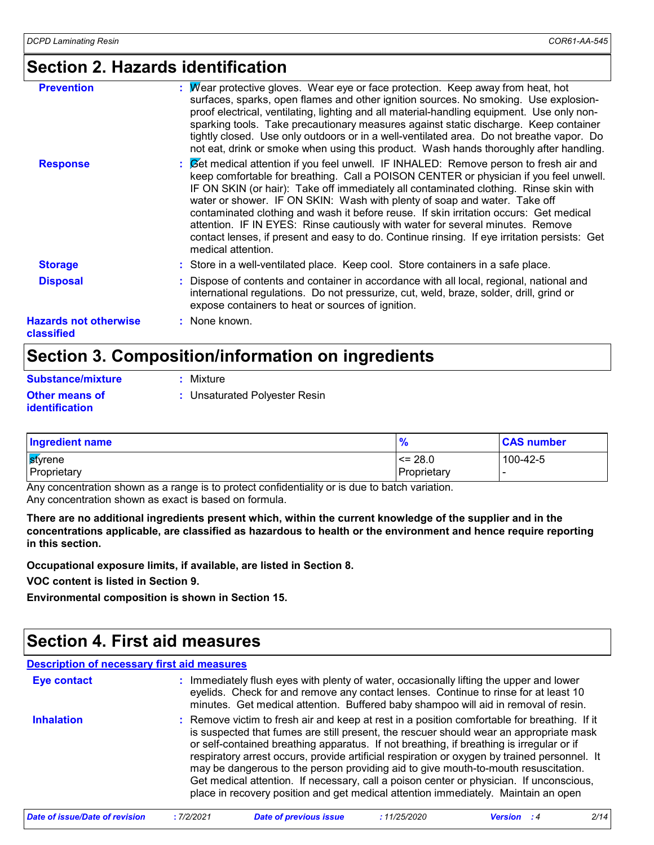### **Section 2. Hazards identification**

| <b>Prevention</b>                          | : Wear protective gloves. Wear eye or face protection. Keep away from heat, hot<br>surfaces, sparks, open flames and other ignition sources. No smoking. Use explosion-<br>proof electrical, ventilating, lighting and all material-handling equipment. Use only non-<br>sparking tools. Take precautionary measures against static discharge. Keep container<br>tightly closed. Use only outdoors or in a well-ventilated area. Do not breathe vapor. Do<br>not eat, drink or smoke when using this product. Wash hands thoroughly after handling.                                                                                                     |
|--------------------------------------------|---------------------------------------------------------------------------------------------------------------------------------------------------------------------------------------------------------------------------------------------------------------------------------------------------------------------------------------------------------------------------------------------------------------------------------------------------------------------------------------------------------------------------------------------------------------------------------------------------------------------------------------------------------|
| <b>Response</b>                            | : Cet medical attention if you feel unwell. IF INHALED: Remove person to fresh air and<br>keep comfortable for breathing. Call a POISON CENTER or physician if you feel unwell.<br>IF ON SKIN (or hair): Take off immediately all contaminated clothing. Rinse skin with<br>water or shower. IF ON SKIN: Wash with plenty of soap and water. Take off<br>contaminated clothing and wash it before reuse. If skin irritation occurs: Get medical<br>attention. IF IN EYES: Rinse cautiously with water for several minutes. Remove<br>contact lenses, if present and easy to do. Continue rinsing. If eye irritation persists: Get<br>medical attention. |
| <b>Storage</b>                             | : Store in a well-ventilated place. Keep cool. Store containers in a safe place.                                                                                                                                                                                                                                                                                                                                                                                                                                                                                                                                                                        |
| <b>Disposal</b>                            | : Dispose of contents and container in accordance with all local, regional, national and<br>international regulations. Do not pressurize, cut, weld, braze, solder, drill, grind or<br>expose containers to heat or sources of ignition.                                                                                                                                                                                                                                                                                                                                                                                                                |
| <b>Hazards not otherwise</b><br>classified | : None known.                                                                                                                                                                                                                                                                                                                                                                                                                                                                                                                                                                                                                                           |

### **Section 3. Composition/information on ingredients**

| Substance/mixture                              | : Mixture                     |
|------------------------------------------------|-------------------------------|
| <b>Other means of</b><br><i>identification</i> | : Unsaturated Polyester Resin |

| <b>Ingredient name</b> |             | <b>CAS number</b> |
|------------------------|-------------|-------------------|
| <b>s</b> tyrene        | $\leq$ 28.0 | 100-42-5          |
| Proprietary            | Proprietary |                   |

Any concentration shown as a range is to protect confidentiality or is due to batch variation. Any concentration shown as exact is based on formula.

**There are no additional ingredients present which, within the current knowledge of the supplier and in the concentrations applicable, are classified as hazardous to health or the environment and hence require reporting in this section.**

**Occupational exposure limits, if available, are listed in Section 8.**

**VOC content is listed in Section 9.**

**Environmental composition is shown in Section 15.**

### **Section 4. First aid measures**

| <b>Description of necessary first aid measures</b> |                                                                                                                                                                                                                                                                                                                                                                                                                                                                                                                                                                                                                                                           |
|----------------------------------------------------|-----------------------------------------------------------------------------------------------------------------------------------------------------------------------------------------------------------------------------------------------------------------------------------------------------------------------------------------------------------------------------------------------------------------------------------------------------------------------------------------------------------------------------------------------------------------------------------------------------------------------------------------------------------|
| <b>Eye contact</b>                                 | : Immediately flush eyes with plenty of water, occasionally lifting the upper and lower<br>eyelids. Check for and remove any contact lenses. Continue to rinse for at least 10<br>minutes. Get medical attention. Buffered baby shampoo will aid in removal of resin.                                                                                                                                                                                                                                                                                                                                                                                     |
| <b>Inhalation</b>                                  | : Remove victim to fresh air and keep at rest in a position comfortable for breathing. If it<br>is suspected that fumes are still present, the rescuer should wear an appropriate mask<br>or self-contained breathing apparatus. If not breathing, if breathing is irregular or if<br>respiratory arrest occurs, provide artificial respiration or oxygen by trained personnel. It<br>may be dangerous to the person providing aid to give mouth-to-mouth resuscitation.<br>Get medical attention. If necessary, call a poison center or physician. If unconscious,<br>place in recovery position and get medical attention immediately. Maintain an open |

*Date of issue/Date of revision* **:** *7/2/2021 Date of previous issue : 11/25/2020 Version : 4 2/14*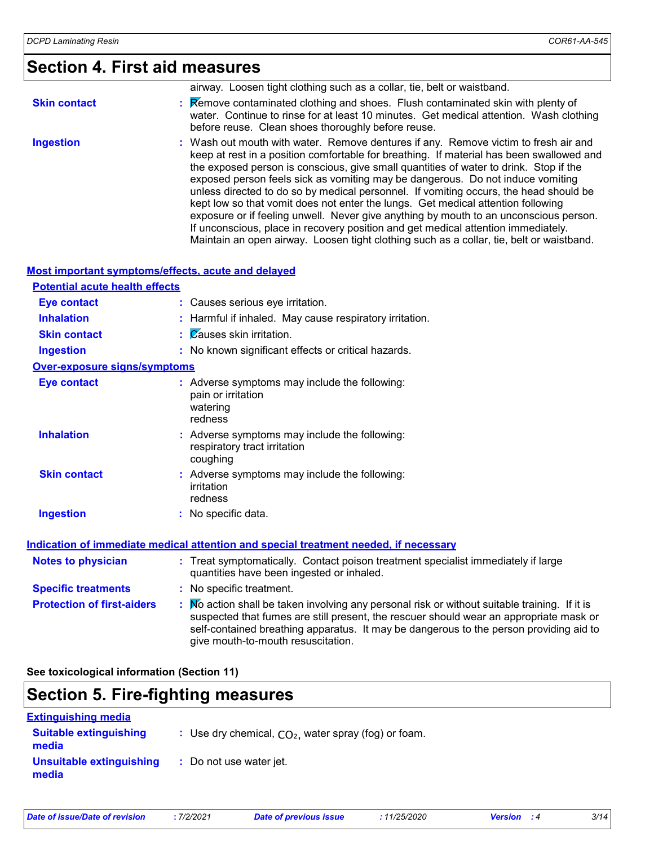### **Section 4. First aid measures**

|                     | airway. Loosen tight clothing such as a collar, tie, belt or waistband.                                                                                                                                                                                                                                                                                                                                                                                                                                                                                                                                                                                                                                                                                                                                           |
|---------------------|-------------------------------------------------------------------------------------------------------------------------------------------------------------------------------------------------------------------------------------------------------------------------------------------------------------------------------------------------------------------------------------------------------------------------------------------------------------------------------------------------------------------------------------------------------------------------------------------------------------------------------------------------------------------------------------------------------------------------------------------------------------------------------------------------------------------|
| <b>Skin contact</b> | : Remove contaminated clothing and shoes. Flush contaminated skin with plenty of<br>water. Continue to rinse for at least 10 minutes. Get medical attention. Wash clothing<br>before reuse. Clean shoes thoroughly before reuse.                                                                                                                                                                                                                                                                                                                                                                                                                                                                                                                                                                                  |
| <b>Ingestion</b>    | : Wash out mouth with water. Remove dentures if any. Remove victim to fresh air and<br>keep at rest in a position comfortable for breathing. If material has been swallowed and<br>the exposed person is conscious, give small quantities of water to drink. Stop if the<br>exposed person feels sick as vomiting may be dangerous. Do not induce vomiting<br>unless directed to do so by medical personnel. If vomiting occurs, the head should be<br>kept low so that vomit does not enter the lungs. Get medical attention following<br>exposure or if feeling unwell. Never give anything by mouth to an unconscious person.<br>If unconscious, place in recovery position and get medical attention immediately.<br>Maintain an open airway. Loosen tight clothing such as a collar, tie, belt or waistband. |

#### **Most important symptoms/effects, acute and delayed**

| <b>Potential acute health effects</b> |                                                                                                                                |
|---------------------------------------|--------------------------------------------------------------------------------------------------------------------------------|
| <b>Eye contact</b>                    | : Causes serious eye irritation.                                                                                               |
| <b>Inhalation</b>                     | Harmful if inhaled. May cause respiratory irritation.                                                                          |
| <b>Skin contact</b>                   | <b>Zauses skin irritation.</b><br>÷.                                                                                           |
| <b>Ingestion</b>                      | : No known significant effects or critical hazards.                                                                            |
| <b>Over-exposure signs/symptoms</b>   |                                                                                                                                |
| <b>Eye contact</b>                    | : Adverse symptoms may include the following:<br>pain or irritation<br>watering<br>redness                                     |
| <b>Inhalation</b>                     | : Adverse symptoms may include the following:<br>respiratory tract irritation<br>coughing                                      |
| <b>Skin contact</b>                   | : Adverse symptoms may include the following:<br>irritation<br>redness                                                         |
| <b>Ingestion</b>                      | : No specific data.                                                                                                            |
|                                       | <u>Indication of immediate medical attention and special treatment needed, if necessary</u>                                    |
| <b>Notes to physician</b>             | : Treat symptomatically. Contact poison treatment specialist immediately if large<br>quantities have been ingested or inhaled. |

**Specific treatments :** No specific treatment.

| <b>Protection of first-aiders</b> | $\sqrt{M}$ action shall be taken involving any personal risk or without suitable training. If it is<br>suspected that fumes are still present, the rescuer should wear an appropriate mask or |
|-----------------------------------|-----------------------------------------------------------------------------------------------------------------------------------------------------------------------------------------------|
|                                   | self-contained breathing apparatus. It may be dangerous to the person providing aid to<br>give mouth-to-mouth resuscitation.                                                                  |

**See toxicological information (Section 11)**

### **Section 5. Fire-fighting measures**

| <b>Extinguishing media</b>             |                                                        |
|----------------------------------------|--------------------------------------------------------|
| <b>Suitable extinguishing</b><br>media | : Use dry chemical, $CO2$ , water spray (fog) or foam. |
| Unsuitable extinguishing<br>media      | : Do not use water jet.                                |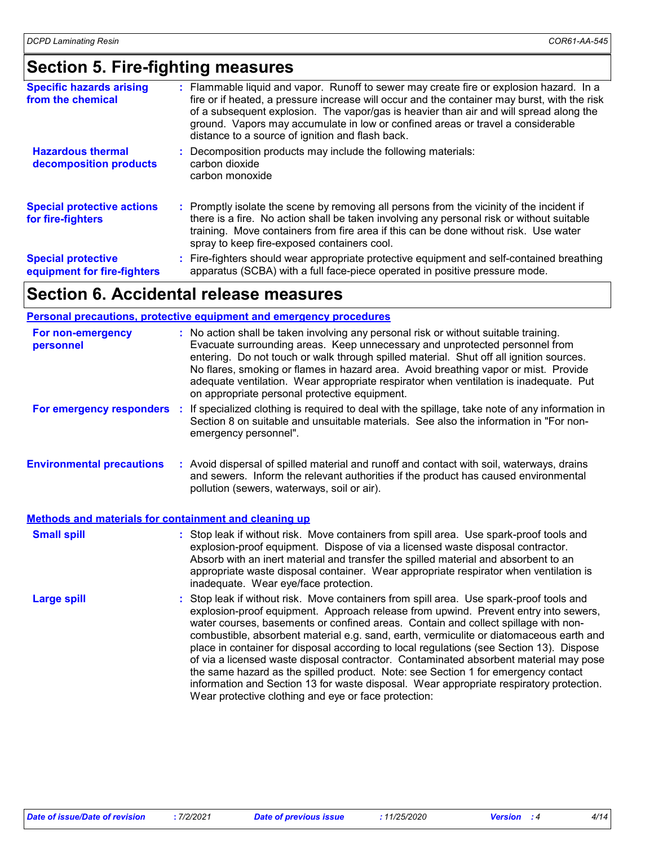### **Section 5. Fire-fighting measures**

| <b>Specific hazards arising</b><br>from the chemical     | : Flammable liquid and vapor. Runoff to sewer may create fire or explosion hazard. In a<br>fire or if heated, a pressure increase will occur and the container may burst, with the risk<br>of a subsequent explosion. The vapor/gas is heavier than air and will spread along the<br>ground. Vapors may accumulate in low or confined areas or travel a considerable<br>distance to a source of ignition and flash back. |
|----------------------------------------------------------|--------------------------------------------------------------------------------------------------------------------------------------------------------------------------------------------------------------------------------------------------------------------------------------------------------------------------------------------------------------------------------------------------------------------------|
| <b>Hazardous thermal</b><br>decomposition products       | Decomposition products may include the following materials:<br>carbon dioxide<br>carbon monoxide                                                                                                                                                                                                                                                                                                                         |
| <b>Special protective actions</b><br>for fire-fighters   | : Promptly isolate the scene by removing all persons from the vicinity of the incident if<br>there is a fire. No action shall be taken involving any personal risk or without suitable<br>training. Move containers from fire area if this can be done without risk. Use water<br>spray to keep fire-exposed containers cool.                                                                                            |
| <b>Special protective</b><br>equipment for fire-fighters | : Fire-fighters should wear appropriate protective equipment and self-contained breathing<br>apparatus (SCBA) with a full face-piece operated in positive pressure mode.                                                                                                                                                                                                                                                 |

### **Section 6. Accidental release measures**

#### **Personal precautions, protective equipment and emergency procedures**

| For non-emergency<br>personnel                               |          | : No action shall be taken involving any personal risk or without suitable training.<br>Evacuate surrounding areas. Keep unnecessary and unprotected personnel from<br>entering. Do not touch or walk through spilled material. Shut off all ignition sources.<br>No flares, smoking or flames in hazard area. Avoid breathing vapor or mist. Provide<br>adequate ventilation. Wear appropriate respirator when ventilation is inadequate. Put<br>on appropriate personal protective equipment.                                                                                                                                                                                                                                                                                              |  |  |  |  |
|--------------------------------------------------------------|----------|----------------------------------------------------------------------------------------------------------------------------------------------------------------------------------------------------------------------------------------------------------------------------------------------------------------------------------------------------------------------------------------------------------------------------------------------------------------------------------------------------------------------------------------------------------------------------------------------------------------------------------------------------------------------------------------------------------------------------------------------------------------------------------------------|--|--|--|--|
| For emergency responders                                     | <b>A</b> | If specialized clothing is required to deal with the spillage, take note of any information in<br>Section 8 on suitable and unsuitable materials. See also the information in "For non-<br>emergency personnel".                                                                                                                                                                                                                                                                                                                                                                                                                                                                                                                                                                             |  |  |  |  |
| <b>Environmental precautions</b>                             |          | : Avoid dispersal of spilled material and runoff and contact with soil, waterways, drains<br>and sewers. Inform the relevant authorities if the product has caused environmental<br>pollution (sewers, waterways, soil or air).                                                                                                                                                                                                                                                                                                                                                                                                                                                                                                                                                              |  |  |  |  |
| <b>Methods and materials for containment and cleaning up</b> |          |                                                                                                                                                                                                                                                                                                                                                                                                                                                                                                                                                                                                                                                                                                                                                                                              |  |  |  |  |
| <b>Small spill</b>                                           |          | : Stop leak if without risk. Move containers from spill area. Use spark-proof tools and<br>explosion-proof equipment. Dispose of via a licensed waste disposal contractor.<br>Absorb with an inert material and transfer the spilled material and absorbent to an<br>appropriate waste disposal container. Wear appropriate respirator when ventilation is<br>inadequate. Wear eye/face protection.                                                                                                                                                                                                                                                                                                                                                                                          |  |  |  |  |
| <b>Large spill</b>                                           |          | : Stop leak if without risk. Move containers from spill area. Use spark-proof tools and<br>explosion-proof equipment. Approach release from upwind. Prevent entry into sewers,<br>water courses, basements or confined areas. Contain and collect spillage with non-<br>combustible, absorbent material e.g. sand, earth, vermiculite or diatomaceous earth and<br>place in container for disposal according to local regulations (see Section 13). Dispose<br>of via a licensed waste disposal contractor. Contaminated absorbent material may pose<br>the same hazard as the spilled product. Note: see Section 1 for emergency contact<br>information and Section 13 for waste disposal. Wear appropriate respiratory protection.<br>Wear protective clothing and eye or face protection: |  |  |  |  |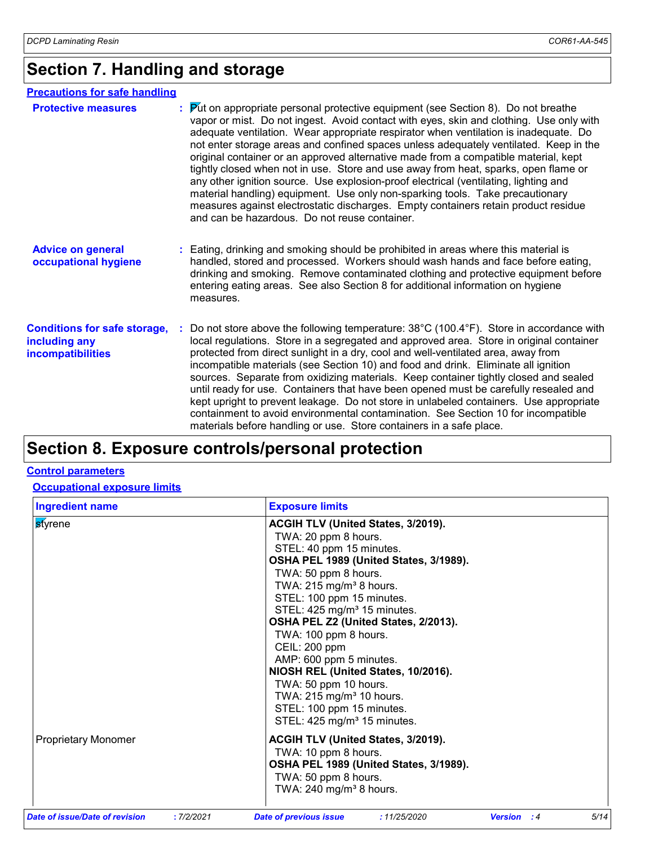### **Section 7. Handling and storage**

| <b>Precautions for safe handling</b>                                      |                                                                                                                                                                                                                                                                                                                                                                                                                                                                                                                                                                                                                                                                                                                                                                                                                                                                         |  |  |  |
|---------------------------------------------------------------------------|-------------------------------------------------------------------------------------------------------------------------------------------------------------------------------------------------------------------------------------------------------------------------------------------------------------------------------------------------------------------------------------------------------------------------------------------------------------------------------------------------------------------------------------------------------------------------------------------------------------------------------------------------------------------------------------------------------------------------------------------------------------------------------------------------------------------------------------------------------------------------|--|--|--|
| <b>Protective measures</b>                                                | $\triangleright$ to appropriate personal protective equipment (see Section 8). Do not breathe<br>vapor or mist. Do not ingest. Avoid contact with eyes, skin and clothing. Use only with<br>adequate ventilation. Wear appropriate respirator when ventilation is inadequate. Do<br>not enter storage areas and confined spaces unless adequately ventilated. Keep in the<br>original container or an approved alternative made from a compatible material, kept<br>tightly closed when not in use. Store and use away from heat, sparks, open flame or<br>any other ignition source. Use explosion-proof electrical (ventilating, lighting and<br>material handling) equipment. Use only non-sparking tools. Take precautionary<br>measures against electrostatic discharges. Empty containers retain product residue<br>and can be hazardous. Do not reuse container. |  |  |  |
| <b>Advice on general</b><br>occupational hygiene                          | Eating, drinking and smoking should be prohibited in areas where this material is<br>handled, stored and processed. Workers should wash hands and face before eating,<br>drinking and smoking. Remove contaminated clothing and protective equipment before<br>entering eating areas. See also Section 8 for additional information on hygiene<br>measures.                                                                                                                                                                                                                                                                                                                                                                                                                                                                                                             |  |  |  |
| <b>Conditions for safe storage,</b><br>including any<br>incompatibilities | Do not store above the following temperature: 38°C (100.4°F). Store in accordance with<br>local regulations. Store in a segregated and approved area. Store in original container<br>protected from direct sunlight in a dry, cool and well-ventilated area, away from<br>incompatible materials (see Section 10) and food and drink. Eliminate all ignition<br>sources. Separate from oxidizing materials. Keep container tightly closed and sealed<br>until ready for use. Containers that have been opened must be carefully resealed and<br>kept upright to prevent leakage. Do not store in unlabeled containers. Use appropriate<br>containment to avoid environmental contamination. See Section 10 for incompatible<br>materials before handling or use. Store containers in a safe place.                                                                      |  |  |  |

### **Section 8. Exposure controls/personal protection**

#### **Control parameters**

### **Occupational exposure limits**

| <b>Ingredient name</b>                      | <b>Exposure limits</b>                                             |      |  |  |  |  |  |
|---------------------------------------------|--------------------------------------------------------------------|------|--|--|--|--|--|
| <b>styrene</b>                              | <b>ACGIH TLV (United States, 3/2019).</b>                          |      |  |  |  |  |  |
|                                             | TWA: 20 ppm 8 hours.                                               |      |  |  |  |  |  |
|                                             | STEL: 40 ppm 15 minutes.                                           |      |  |  |  |  |  |
|                                             | OSHA PEL 1989 (United States, 3/1989).                             |      |  |  |  |  |  |
|                                             | TWA: 50 ppm 8 hours.                                               |      |  |  |  |  |  |
|                                             | TWA: 215 mg/m <sup>3</sup> 8 hours.                                |      |  |  |  |  |  |
|                                             | STEL: 100 ppm 15 minutes.                                          |      |  |  |  |  |  |
|                                             | STEL: 425 mg/m <sup>3</sup> 15 minutes.                            |      |  |  |  |  |  |
|                                             | OSHA PEL Z2 (United States, 2/2013).                               |      |  |  |  |  |  |
|                                             | TWA: 100 ppm 8 hours.                                              |      |  |  |  |  |  |
|                                             | CEIL: 200 ppm                                                      |      |  |  |  |  |  |
|                                             | AMP: 600 ppm 5 minutes.                                            |      |  |  |  |  |  |
|                                             | NIOSH REL (United States, 10/2016).                                |      |  |  |  |  |  |
|                                             | TWA: 50 ppm 10 hours.                                              |      |  |  |  |  |  |
|                                             | TWA: 215 mg/m <sup>3</sup> 10 hours.                               |      |  |  |  |  |  |
|                                             | STEL: 100 ppm 15 minutes.                                          |      |  |  |  |  |  |
|                                             | STEL: 425 mg/m <sup>3</sup> 15 minutes.                            |      |  |  |  |  |  |
| <b>Proprietary Monomer</b>                  | ACGIH TLV (United States, 3/2019).                                 |      |  |  |  |  |  |
|                                             | TWA: 10 ppm 8 hours.                                               |      |  |  |  |  |  |
|                                             | OSHA PEL 1989 (United States, 3/1989).                             |      |  |  |  |  |  |
|                                             | TWA: 50 ppm 8 hours.                                               |      |  |  |  |  |  |
|                                             | TWA: 240 mg/m <sup>3</sup> 8 hours.                                |      |  |  |  |  |  |
| Date of issue/Date of revision<br>:7/2/2021 | <b>Date of previous issue</b><br>:11/25/2020<br><b>Version : 4</b> | 5/14 |  |  |  |  |  |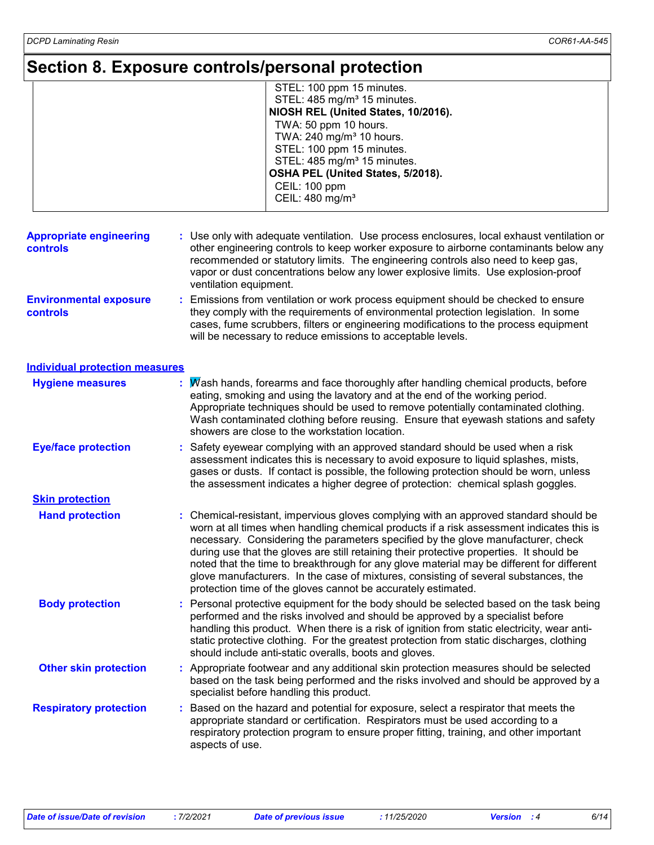### **Section 8. Exposure controls/personal protection**

|                                            | STEL: 100 ppm 15 minutes.<br>STEL: 485 mg/m <sup>3</sup> 15 minutes.<br>NIOSH REL (United States, 10/2016).<br>TWA: 50 ppm 10 hours.<br>TWA: 240 mg/m <sup>3</sup> 10 hours.<br>STEL: 100 ppm 15 minutes.<br>STEL: 485 mg/m <sup>3</sup> 15 minutes.<br>OSHA PEL (United States, 5/2018).<br><b>CEIL: 100 ppm</b><br>CEIL: 480 mg/m <sup>3</sup>                                                                                                                                                                                                                                                                     |  |  |  |
|--------------------------------------------|----------------------------------------------------------------------------------------------------------------------------------------------------------------------------------------------------------------------------------------------------------------------------------------------------------------------------------------------------------------------------------------------------------------------------------------------------------------------------------------------------------------------------------------------------------------------------------------------------------------------|--|--|--|
| <b>Appropriate engineering</b><br>controls | Use only with adequate ventilation. Use process enclosures, local exhaust ventilation or<br>other engineering controls to keep worker exposure to airborne contaminants below any<br>recommended or statutory limits. The engineering controls also need to keep gas,<br>vapor or dust concentrations below any lower explosive limits. Use explosion-proof<br>ventilation equipment.                                                                                                                                                                                                                                |  |  |  |
| <b>Environmental exposure</b><br>controls  | Emissions from ventilation or work process equipment should be checked to ensure<br>they comply with the requirements of environmental protection legislation. In some<br>cases, fume scrubbers, filters or engineering modifications to the process equipment<br>will be necessary to reduce emissions to acceptable levels.                                                                                                                                                                                                                                                                                        |  |  |  |
| <b>Individual protection measures</b>      |                                                                                                                                                                                                                                                                                                                                                                                                                                                                                                                                                                                                                      |  |  |  |
| <b>Hygiene measures</b>                    | Wash hands, forearms and face thoroughly after handling chemical products, before<br>eating, smoking and using the lavatory and at the end of the working period.<br>Appropriate techniques should be used to remove potentially contaminated clothing.<br>Wash contaminated clothing before reusing. Ensure that eyewash stations and safety<br>showers are close to the workstation location.                                                                                                                                                                                                                      |  |  |  |
| <b>Eye/face protection</b>                 | Safety eyewear complying with an approved standard should be used when a risk<br>assessment indicates this is necessary to avoid exposure to liquid splashes, mists,<br>gases or dusts. If contact is possible, the following protection should be worn, unless<br>the assessment indicates a higher degree of protection: chemical splash goggles.                                                                                                                                                                                                                                                                  |  |  |  |
| <b>Skin protection</b>                     |                                                                                                                                                                                                                                                                                                                                                                                                                                                                                                                                                                                                                      |  |  |  |
| <b>Hand protection</b>                     | Chemical-resistant, impervious gloves complying with an approved standard should be<br>worn at all times when handling chemical products if a risk assessment indicates this is<br>necessary. Considering the parameters specified by the glove manufacturer, check<br>during use that the gloves are still retaining their protective properties. It should be<br>noted that the time to breakthrough for any glove material may be different for different<br>glove manufacturers. In the case of mixtures, consisting of several substances, the<br>protection time of the gloves cannot be accurately estimated. |  |  |  |
| <b>Body protection</b>                     | Personal protective equipment for the body should be selected based on the task being<br>÷.<br>performed and the risks involved and should be approved by a specialist before<br>handling this product. When there is a risk of ignition from static electricity, wear anti-<br>static protective clothing. For the greatest protection from static discharges, clothing<br>should include anti-static overalls, boots and gloves.                                                                                                                                                                                   |  |  |  |
| <b>Other skin protection</b>               | : Appropriate footwear and any additional skin protection measures should be selected<br>based on the task being performed and the risks involved and should be approved by a<br>specialist before handling this product.                                                                                                                                                                                                                                                                                                                                                                                            |  |  |  |
| <b>Respiratory protection</b>              | Based on the hazard and potential for exposure, select a respirator that meets the<br>appropriate standard or certification. Respirators must be used according to a<br>respiratory protection program to ensure proper fitting, training, and other important<br>aspects of use.                                                                                                                                                                                                                                                                                                                                    |  |  |  |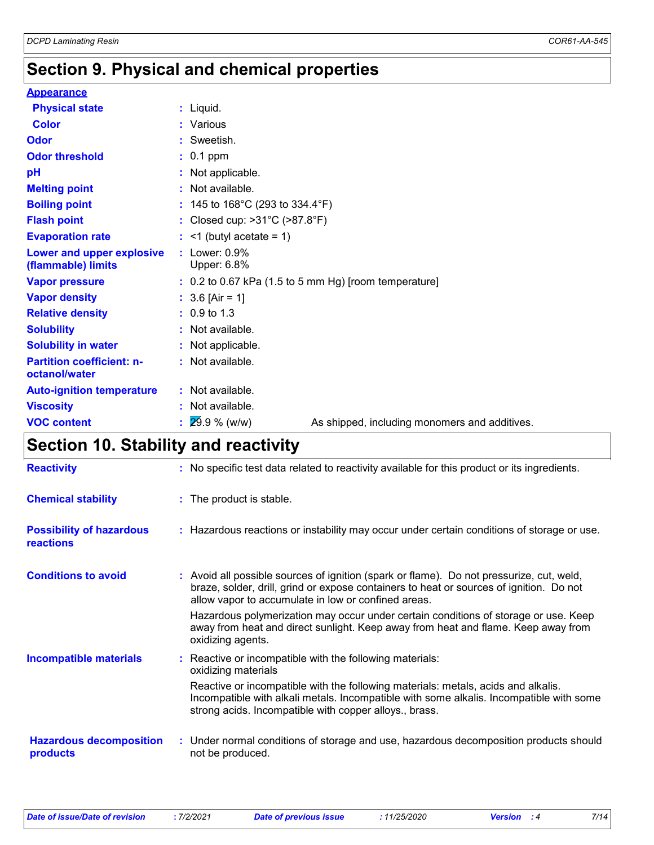### **Section 9. Physical and chemical properties**

#### **Appearance**

| <b>Physical state</b>                             | : Liquid.                                                      |  |  |  |  |
|---------------------------------------------------|----------------------------------------------------------------|--|--|--|--|
| <b>Color</b>                                      | : Various                                                      |  |  |  |  |
| Odor                                              | Sweetish.                                                      |  |  |  |  |
| <b>Odor threshold</b>                             | $: 0.1$ ppm                                                    |  |  |  |  |
| pH                                                | Not applicable.                                                |  |  |  |  |
| <b>Melting point</b>                              | : Not available.                                               |  |  |  |  |
| <b>Boiling point</b>                              | : 145 to 168°C (293 to 334.4°F)                                |  |  |  |  |
| <b>Flash point</b>                                | : Closed cup: $>31^{\circ}$ C ( $>87.8^{\circ}$ F)             |  |  |  |  |
| <b>Evaporation rate</b>                           | $:$ <1 (butyl acetate = 1)                                     |  |  |  |  |
| Lower and upper explosive<br>(flammable) limits   | Lower: 0.9%<br>Upper: 6.8%                                     |  |  |  |  |
| <b>Vapor pressure</b>                             | $: 0.2$ to 0.67 kPa (1.5 to 5 mm Hg) [room temperature]        |  |  |  |  |
| <b>Vapor density</b>                              | : $3.6$ [Air = 1]                                              |  |  |  |  |
| <b>Relative density</b>                           | $: 0.9 \text{ to } 1.3$                                        |  |  |  |  |
| <b>Solubility</b>                                 | : Not available.                                               |  |  |  |  |
| <b>Solubility in water</b>                        | Not applicable.                                                |  |  |  |  |
| <b>Partition coefficient: n-</b><br>octanol/water | : Not available.                                               |  |  |  |  |
| <b>Auto-ignition temperature</b>                  | : Not available.                                               |  |  |  |  |
| <b>Viscosity</b>                                  | Not available.                                                 |  |  |  |  |
| <b>VOC content</b>                                | $29.9%$ (w/w)<br>As shipped, including monomers and additives. |  |  |  |  |

### **Section 10. Stability and reactivity**

| <b>Reactivity</b>                                   | : No specific test data related to reactivity available for this product or its ingredients.                                                                                                                                               |  |  |  |
|-----------------------------------------------------|--------------------------------------------------------------------------------------------------------------------------------------------------------------------------------------------------------------------------------------------|--|--|--|
| <b>Chemical stability</b>                           | : The product is stable.                                                                                                                                                                                                                   |  |  |  |
| <b>Possibility of hazardous</b><br><b>reactions</b> | : Hazardous reactions or instability may occur under certain conditions of storage or use.                                                                                                                                                 |  |  |  |
| <b>Conditions to avoid</b>                          | : Avoid all possible sources of ignition (spark or flame). Do not pressurize, cut, weld,<br>braze, solder, drill, grind or expose containers to heat or sources of ignition. Do not<br>allow vapor to accumulate in low or confined areas. |  |  |  |
|                                                     | Hazardous polymerization may occur under certain conditions of storage or use. Keep<br>away from heat and direct sunlight. Keep away from heat and flame. Keep away from<br>oxidizing agents.                                              |  |  |  |
| <b>Incompatible materials</b>                       | Reactive or incompatible with the following materials:<br>oxidizing materials                                                                                                                                                              |  |  |  |
|                                                     | Reactive or incompatible with the following materials: metals, acids and alkalis.<br>Incompatible with alkali metals. Incompatible with some alkalis. Incompatible with some<br>strong acids. Incompatible with copper alloys., brass.     |  |  |  |
| <b>Hazardous decomposition</b><br>products          | : Under normal conditions of storage and use, hazardous decomposition products should<br>not be produced.                                                                                                                                  |  |  |  |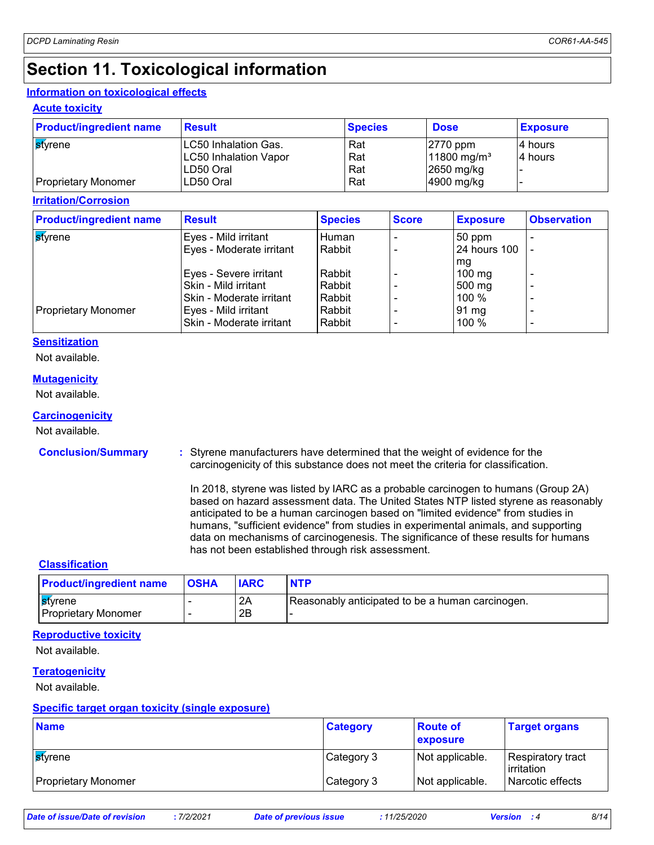### **Section 11. Toxicological information**

#### **Information on toxicological effects**

#### **Acute toxicity**

| <b>Product/ingredient name</b> | <b>Result</b>                | <b>Species</b> | <b>Dose</b>               | <b>Exposure</b> |
|--------------------------------|------------------------------|----------------|---------------------------|-----------------|
| <b>s</b> tyrene                | LC50 Inhalation Gas.         | Rat            | $ 2770$ ppm               | 4 hours         |
|                                | <b>LC50 Inhalation Vapor</b> | Rat            | $11800 \,\mathrm{mg/m^3}$ | 4 hours         |
|                                | LD50 Oral                    | Rat            | 2650 mg/kg                |                 |
| <b>Proprietary Monomer</b>     | LD50 Oral                    | Rat            | 4900 mg/kg                |                 |

**Irritation/Corrosion**

| <b>Product/ingredient name</b> | <b>Result</b>            | <b>Species</b> | <b>Score</b> | <b>Exposure</b>     | <b>Observation</b>       |
|--------------------------------|--------------------------|----------------|--------------|---------------------|--------------------------|
| ∣ <mark>s</mark> tvrene        | Eyes - Mild irritant     | Human          |              | $50$ ppm            |                          |
|                                | Eyes - Moderate irritant | Rabbit         |              | <b>24 hours 100</b> |                          |
|                                |                          |                |              | mg                  |                          |
|                                | Eyes - Severe irritant   | Rabbit         |              | $100 \text{ mg}$    | $\overline{\phantom{0}}$ |
|                                | Skin - Mild irritant     | Rabbit         |              | 500 mg              | $\overline{\phantom{0}}$ |
|                                | Skin - Moderate irritant | Rabbit         |              | 100 %               |                          |
| <b>Proprietary Monomer</b>     | Eyes - Mild irritant     | Rabbit         |              | 91 mg               | $\overline{\phantom{0}}$ |
|                                | Skin - Moderate irritant | Rabbit         |              | 100 %               |                          |
|                                |                          |                |              |                     |                          |

#### **Sensitization**

Not available.

#### **Mutagenicity**

Not available.

#### **Carcinogenicity**

Not available.

#### **Conclusion/Summary :**

Styrene manufacturers have determined that the weight of evidence for the carcinogenicity of this substance does not meet the criteria for classification.

In 2018, styrene was listed by IARC as a probable carcinogen to humans (Group 2A) based on hazard assessment data. The United States NTP listed styrene as reasonably anticipated to be a human carcinogen based on "limited evidence" from studies in humans, "sufficient evidence" from studies in experimental animals, and supporting data on mechanisms of carcinogenesis. The significance of these results for humans has not been established through risk assessment.

#### **Classification**

| <b>Product/ingredient name</b>                | <b>OSHA</b> | <b>IARC</b> | <b>NTP</b>                                       |
|-----------------------------------------------|-------------|-------------|--------------------------------------------------|
| <b>S</b> tvrene<br><b>Proprietary Monomer</b> |             | 2A<br>2B    | Reasonably anticipated to be a human carcinogen. |

#### **Reproductive toxicity**

Not available.

#### **Teratogenicity**

Not available.

#### **Specific target organ toxicity (single exposure)**

| <b>Name</b>                | <b>Category</b> | ∣ Route of<br>exposure | <b>Target organs</b>                    |
|----------------------------|-----------------|------------------------|-----------------------------------------|
| l <mark>st</mark> vrene    | Category 3      | Not applicable.        | Respiratory tract<br><b>lirritation</b> |
| <b>Proprietary Monomer</b> | Category 3      | Not applicable.        | Narcotic effects                        |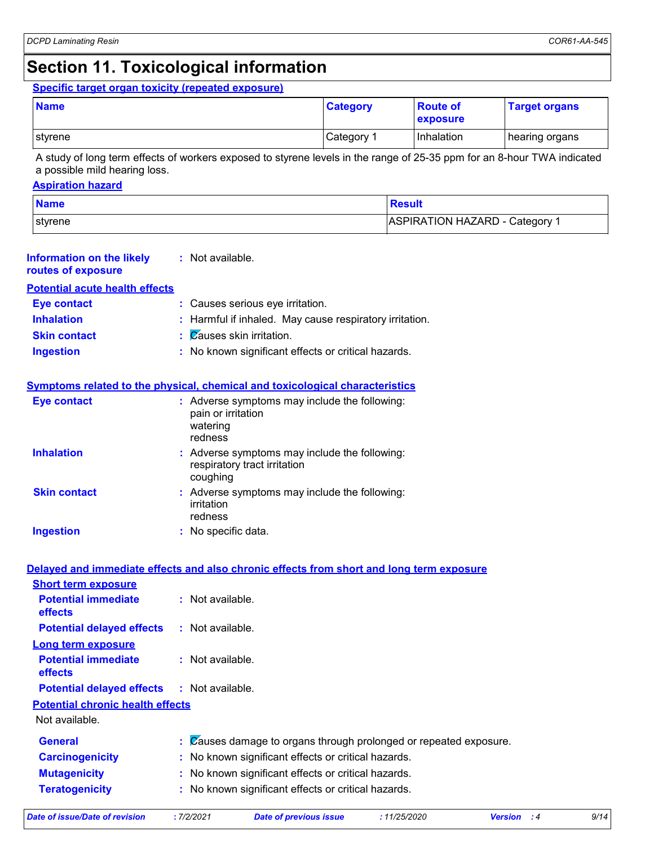### **Section 11. Toxicological information**

**Eye contact :** Causes serious eye irritation.

**:** Not available.

#### **Specific target organ toxicity (repeated exposure)**

| <b>Name</b> | <b>Category</b> | <b>Route of</b><br>exposure | <b>Target organs</b> |
|-------------|-----------------|-----------------------------|----------------------|
| I styrene   | Category        | l Inhalation                | hearing organs       |

A study of long term effects of workers exposed to styrene levels in the range of 25-35 ppm for an 8-hour TWA indicated a possible mild hearing loss.

#### **Aspiration hazard**

**Information on the likely routes of exposure**

**Potential acute health effects**

| <b>Name</b> | <b>Result</b>                |
|-------------|------------------------------|
| styrene     | ASPIRATION HAZARD - Category |

| <b>Inhalation</b>                                                   | : Harmful if inhaled. May cause respiratory irritation.                                                      |
|---------------------------------------------------------------------|--------------------------------------------------------------------------------------------------------------|
| <b>Skin contact</b>                                                 | Zauses skin irritation.                                                                                      |
| <b>Ingestion</b>                                                    | : No known significant effects or critical hazards.                                                          |
|                                                                     | Symptoms related to the physical, chemical and toxicological characteristics                                 |
| <b>Eye contact</b>                                                  | : Adverse symptoms may include the following:<br>pain or irritation<br>watering<br>redness                   |
| <b>Inhalation</b>                                                   | : Adverse symptoms may include the following:<br>respiratory tract irritation<br>coughing                    |
| <b>Skin contact</b>                                                 | : Adverse symptoms may include the following:<br>irritation<br>redness                                       |
| <b>Ingestion</b>                                                    | : No specific data.                                                                                          |
| <b>Short term exposure</b><br><b>Potential immediate</b><br>effects | Delayed and immediate effects and also chronic effects from short and long term exposure<br>: Not available. |
| <b>Potential delayed effects</b>                                    | : Not available.                                                                                             |
| <b>Long term exposure</b>                                           |                                                                                                              |
| <b>Potential immediate</b><br>effects                               | : Not available.                                                                                             |
| <b>Potential delayed effects</b>                                    | : Not available.                                                                                             |
| <b>Potential chronic health effects</b>                             |                                                                                                              |
| Not available.                                                      |                                                                                                              |
| <b>General</b>                                                      | $\therefore$ Zauses damage to organs through prolonged or repeated exposure.                                 |
| <b>Carcinogenicity</b>                                              | No known significant effects or critical hazards.                                                            |
| <b>Mutagenicity</b>                                                 | No known significant effects or critical hazards.                                                            |
| <b>Teratogenicity</b>                                               | No known significant effects or critical hazards.                                                            |

*Date of issue/Date of revision* **:** *7/2/2021 Date of previous issue : 11/25/2020 Version : 4 9/14*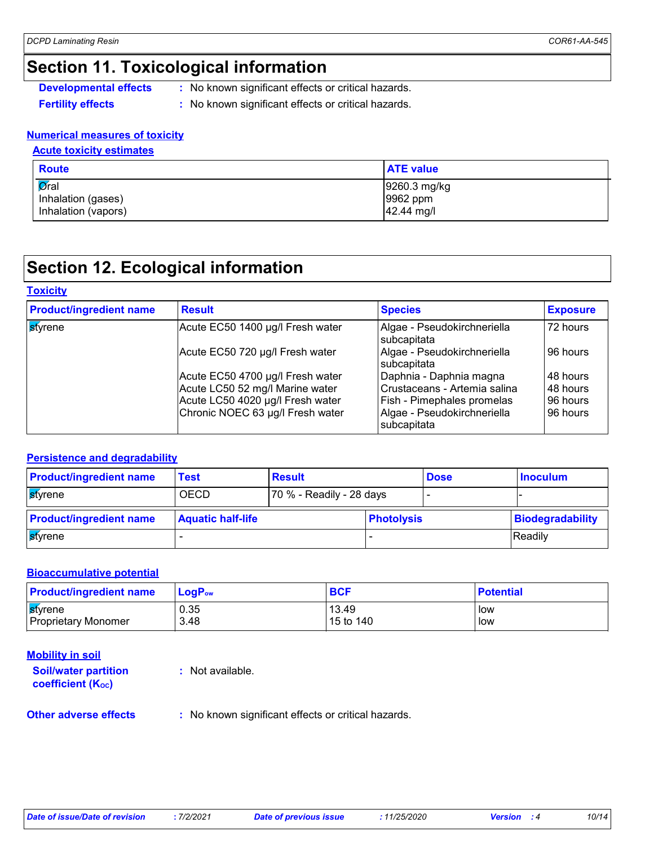### **Section 11. Toxicological information**

**Developmental effects** : No known significant effects or critical hazards.

**Fertility effects :** No known significant effects or critical hazards.

#### **Numerical measures of toxicity**

#### **Acute toxicity estimates**

| <b>Route</b>                | <b>ATE</b> value |
|-----------------------------|------------------|
| $\overline{\mathsf{Q}}$ ral | 9260.3 mg/kg     |
| Inhalation (gases)          | 9962 ppm         |
| Inhalation (vapors)         | 42.44 mg/l       |

### **Section 12. Ecological information**

#### **Toxicity**

| <b>Product/ingredient name</b> | <b>Result</b>                                                       | <b>Species</b>                                          | <b>Exposure</b>      |
|--------------------------------|---------------------------------------------------------------------|---------------------------------------------------------|----------------------|
| styrene                        | Acute EC50 1400 µg/l Fresh water                                    | Algae - Pseudokirchneriella<br>subcapitata              | 72 hours             |
|                                | Acute EC50 720 µg/l Fresh water                                     | Algae - Pseudokirchneriella<br>subcapitata              | 96 hours             |
|                                | Acute EC50 4700 µg/l Fresh water<br>Acute LC50 52 mg/l Marine water | Daphnia - Daphnia magna<br>Crustaceans - Artemia salina | 48 hours<br>48 hours |
|                                | Acute LC50 4020 µg/l Fresh water                                    | Fish - Pimephales promelas                              | 96 hours             |
|                                | Chronic NOEC 63 µg/l Fresh water                                    | Algae - Pseudokirchneriella<br>subcapitata              | 96 hours             |

#### **Persistence and degradability**

| <b>Product/ingredient name</b> | Test                     | <b>Result</b>            |                   | <b>Dose</b> | ∣ Inoculum       |
|--------------------------------|--------------------------|--------------------------|-------------------|-------------|------------------|
| styrene                        | <b>OECD</b>              | 70 % - Readily - 28 days |                   |             |                  |
| <b>Product/ingredient name</b> | <b>Aquatic half-life</b> |                          | <b>Photolysis</b> |             | Biodegradability |
| styrene                        |                          |                          |                   |             | <b>IReadily</b>  |

#### **Bioaccumulative potential**

| <b>Product/ingredient name</b>               | $\mathsf{LogP}_\mathsf{ow}$ | <b>BCF</b>         | <b>Potential</b> |
|----------------------------------------------|-----------------------------|--------------------|------------------|
| <b>styrene</b><br><b>Proprietary Monomer</b> | 0.35<br>3.48                | 13.49<br>15 to 140 | low<br>low       |
|                                              |                             |                    |                  |

#### **Mobility in soil**

**Soil/water partition coefficient (KOC)**

**:** Not available.

**Other adverse effects** : No known significant effects or critical hazards.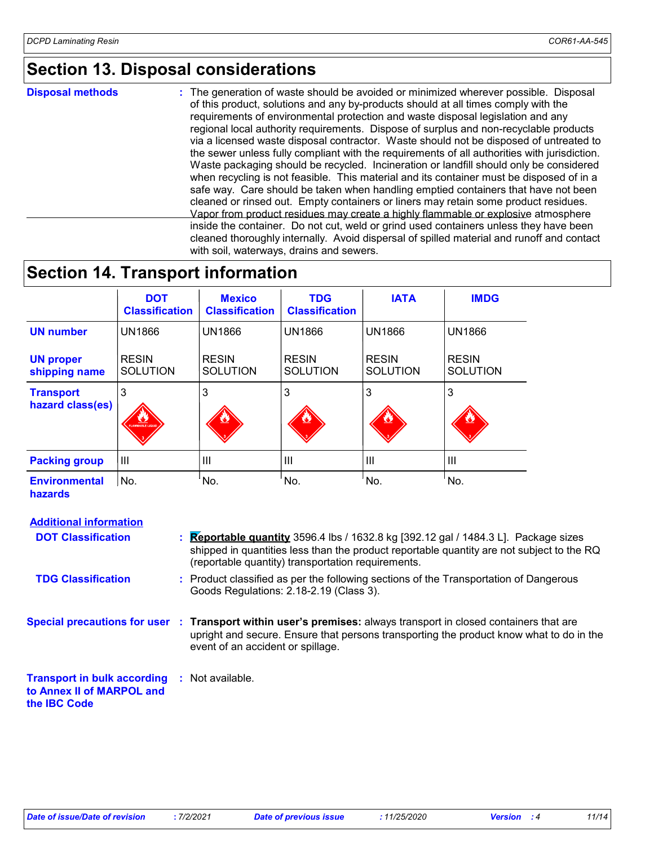### **Section 13. Disposal considerations**

| <b>Disposal methods</b> | : The generation of waste should be avoided or minimized wherever possible. Disposal<br>of this product, solutions and any by-products should at all times comply with the<br>requirements of environmental protection and waste disposal legislation and any<br>regional local authority requirements. Dispose of surplus and non-recyclable products<br>via a licensed waste disposal contractor. Waste should not be disposed of untreated to<br>the sewer unless fully compliant with the requirements of all authorities with jurisdiction.<br>Waste packaging should be recycled. Incineration or landfill should only be considered<br>when recycling is not feasible. This material and its container must be disposed of in a<br>safe way. Care should be taken when handling emptied containers that have not been<br>cleaned or rinsed out. Empty containers or liners may retain some product residues.<br>Vapor from product residues may create a highly flammable or explosive atmosphere |
|-------------------------|----------------------------------------------------------------------------------------------------------------------------------------------------------------------------------------------------------------------------------------------------------------------------------------------------------------------------------------------------------------------------------------------------------------------------------------------------------------------------------------------------------------------------------------------------------------------------------------------------------------------------------------------------------------------------------------------------------------------------------------------------------------------------------------------------------------------------------------------------------------------------------------------------------------------------------------------------------------------------------------------------------|
|                         | inside the container. Do not cut, weld or grind used containers unless they have been<br>cleaned thoroughly internally. Avoid dispersal of spilled material and runoff and contact<br>with soil, waterways, drains and sewers.                                                                                                                                                                                                                                                                                                                                                                                                                                                                                                                                                                                                                                                                                                                                                                           |

## **Section 14. Transport information**

|                                        | <b>DOT</b><br><b>Classification</b> | <b>Mexico</b><br><b>Classification</b> | <b>TDG</b><br><b>Classification</b> | <b>IATA</b>                     | <b>IMDG</b>                     |
|----------------------------------------|-------------------------------------|----------------------------------------|-------------------------------------|---------------------------------|---------------------------------|
| <b>UN number</b>                       | <b>UN1866</b>                       | <b>UN1866</b>                          | <b>UN1866</b>                       | <b>UN1866</b>                   | <b>UN1866</b>                   |
| <b>UN proper</b><br>shipping name      | <b>RESIN</b><br><b>SOLUTION</b>     | <b>RESIN</b><br><b>SOLUTION</b>        | <b>RESIN</b><br><b>SOLUTION</b>     | <b>RESIN</b><br><b>SOLUTION</b> | <b>RESIN</b><br><b>SOLUTION</b> |
| <b>Transport</b><br>hazard class(es)   | 3<br>FLAMMABLE LIQUID               | 3<br>$\mathbf{v}$                      | 3                                   | 3<br>Ø                          | 3                               |
| <b>Packing group</b>                   | $\mathbf{III}$                      | ШI                                     | $\mathbf{III}$                      | $\mathbf{III}$                  | III                             |
| <b>Environmental</b><br><b>hazards</b> | No.                                 | No.                                    | No.                                 | No.                             | No.                             |

#### **Additional information**

| <b>DOT Classification</b>                                                                               | <b>Reportable quantity</b> 3596.4 lbs / 1632.8 kg [392.12 gal / 1484.3 L]. Package sizes<br>shipped in quantities less than the product reportable quantity are not subject to the RQ<br>(reportable quantity) transportation requirements.     |
|---------------------------------------------------------------------------------------------------------|-------------------------------------------------------------------------------------------------------------------------------------------------------------------------------------------------------------------------------------------------|
| <b>TDG Classification</b>                                                                               | : Product classified as per the following sections of the Transportation of Dangerous<br>Goods Regulations: 2.18-2.19 (Class 3).                                                                                                                |
|                                                                                                         | Special precautions for user : Transport within user's premises: always transport in closed containers that are<br>upright and secure. Ensure that persons transporting the product know what to do in the<br>event of an accident or spillage. |
| <b>Transport in bulk according : Not available.</b><br>to Annex II of MARPOL and<br>the <b>IBC</b> Code |                                                                                                                                                                                                                                                 |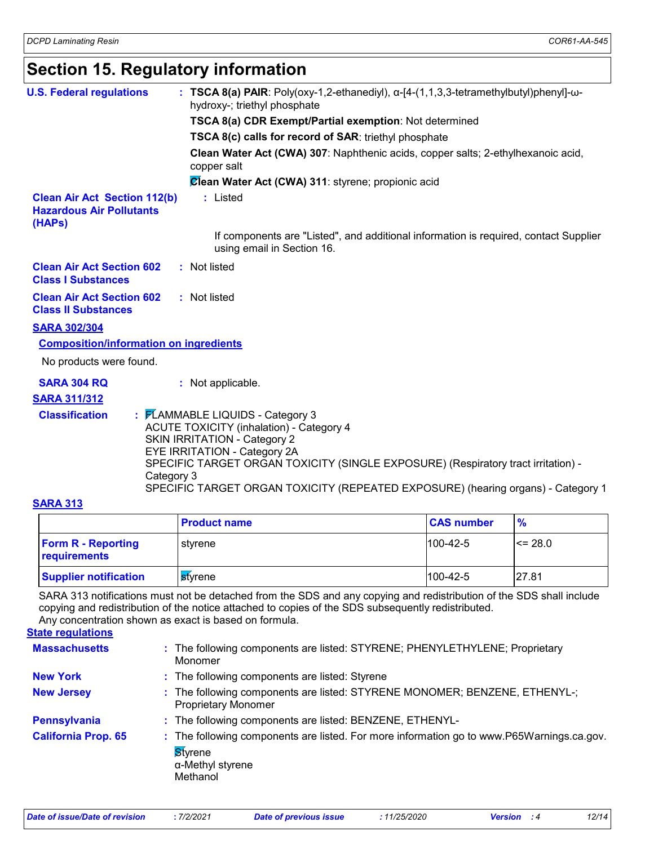### **Section 15. Regulatory information**

| <b>U.S. Federal regulations</b>                                                  | : TSCA 8(a) PAIR: Poly(oxy-1,2-ethanediyl), $\alpha$ -[4-(1,1,3,3-tetramethylbutyl)phenyl]- $\omega$ -<br>hydroxy-; triethyl phosphate                                                                                                                                                                                              |
|----------------------------------------------------------------------------------|-------------------------------------------------------------------------------------------------------------------------------------------------------------------------------------------------------------------------------------------------------------------------------------------------------------------------------------|
|                                                                                  |                                                                                                                                                                                                                                                                                                                                     |
|                                                                                  | TSCA 8(a) CDR Exempt/Partial exemption: Not determined                                                                                                                                                                                                                                                                              |
|                                                                                  | TSCA 8(c) calls for record of SAR: triethyl phosphate                                                                                                                                                                                                                                                                               |
|                                                                                  | Clean Water Act (CWA) 307: Naphthenic acids, copper salts; 2-ethylhexanoic acid,<br>copper salt                                                                                                                                                                                                                                     |
|                                                                                  | Clean Water Act (CWA) 311: styrene; propionic acid                                                                                                                                                                                                                                                                                  |
| <b>Clean Air Act Section 112(b)</b><br><b>Hazardous Air Pollutants</b><br>(HAPs) | : Listed                                                                                                                                                                                                                                                                                                                            |
|                                                                                  | If components are "Listed", and additional information is required, contact Supplier<br>using email in Section 16.                                                                                                                                                                                                                  |
| <b>Clean Air Act Section 602</b><br><b>Class I Substances</b>                    | : Not listed                                                                                                                                                                                                                                                                                                                        |
| <b>Clean Air Act Section 602</b><br><b>Class II Substances</b>                   | : Not listed                                                                                                                                                                                                                                                                                                                        |
| <b>SARA 302/304</b>                                                              |                                                                                                                                                                                                                                                                                                                                     |
| <b>Composition/information on ingredients</b>                                    |                                                                                                                                                                                                                                                                                                                                     |
| No products were found.                                                          |                                                                                                                                                                                                                                                                                                                                     |
| <b>SARA 304 RQ</b>                                                               | : Not applicable.                                                                                                                                                                                                                                                                                                                   |
| <b>SARA 311/312</b>                                                              |                                                                                                                                                                                                                                                                                                                                     |
| <b>Classification</b><br>Category 3                                              | : FLAMMABLE LIQUIDS - Category 3<br><b>ACUTE TOXICITY (inhalation) - Category 4</b><br><b>SKIN IRRITATION - Category 2</b><br>EYE IRRITATION - Category 2A<br>SPECIFIC TARGET ORGAN TOXICITY (SINGLE EXPOSURE) (Respiratory tract irritation) -<br>SPECIFIC TARGET ORGAN TOXICITY (REPEATED EXPOSURE) (hearing organs) - Category 1 |

#### **SARA 313**

|                                           | <b>Product name</b>     | <b>CAS number</b> | $\frac{9}{6}$ |
|-------------------------------------------|-------------------------|-------------------|---------------|
| <b>Form R - Reporting</b><br>requirements | l stvrene               | $100-42-5$        | $\leq$ 28.0   |
| <b>Supplier notification</b>              | l <mark>s</mark> tvrene | $1100 - 42 - 5$   | 27.81         |

SARA 313 notifications must not be detached from the SDS and any copying and redistribution of the SDS shall include copying and redistribution of the notice attached to copies of the SDS subsequently redistributed.

The following components are listed: STYRENE; PHENYLETHYLENE; Proprietary **:** Monomer **Massachusetts Styrene** α-Methyl styrene Methanol **California Prop. 65 New York :** The following components are listed: Styrene **New Jersey :** The following components are listed: STYRENE MONOMER; BENZENE, ETHENYL-; Proprietary Monomer **Pennsylvania :** The following components are listed: BENZENE, ETHENYL-**State regulations :** The following components are listed. For more information go to www.P65Warnings.ca.gov. Any concentration shown as exact is based on formula. *Date of issue/Date of revision* **:** *7/2/2021 Date of previous issue : 11/25/2020 Version : 4 12/14*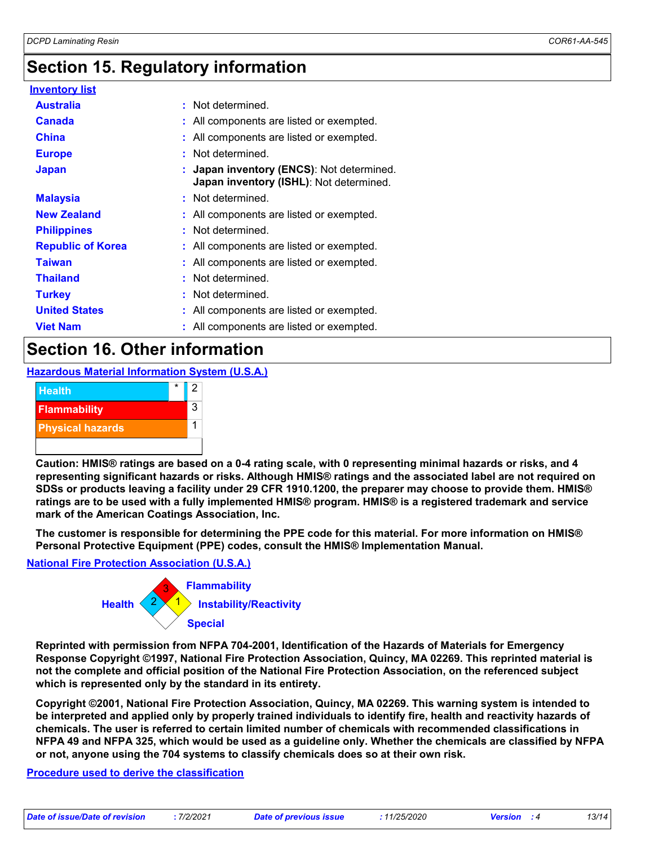### **Section 15. Regulatory information**

| <u>Inventory list</u>    |                                                                                      |
|--------------------------|--------------------------------------------------------------------------------------|
| <b>Australia</b>         | : Not determined.                                                                    |
| <b>Canada</b>            | : All components are listed or exempted.                                             |
| <b>China</b>             | : All components are listed or exempted.                                             |
| <b>Europe</b>            | : Not determined.                                                                    |
| <b>Japan</b>             | : Japan inventory (ENCS): Not determined.<br>Japan inventory (ISHL): Not determined. |
| <b>Malaysia</b>          | : Not determined.                                                                    |
| <b>New Zealand</b>       | : All components are listed or exempted.                                             |
| <b>Philippines</b>       | : Not determined.                                                                    |
| <b>Republic of Korea</b> | : All components are listed or exempted.                                             |
| <b>Taiwan</b>            | : All components are listed or exempted.                                             |
| <b>Thailand</b>          | : Not determined.                                                                    |
| <b>Turkey</b>            | : Not determined.                                                                    |
| <b>United States</b>     | : All components are listed or exempted.                                             |
| <b>Viet Nam</b>          | : All components are listed or exempted.                                             |

### **Section 16. Other information**

**Hazardous Material Information System (U.S.A.)**



**Caution: HMIS® ratings are based on a 0-4 rating scale, with 0 representing minimal hazards or risks, and 4 representing significant hazards or risks. Although HMIS® ratings and the associated label are not required on SDSs or products leaving a facility under 29 CFR 1910.1200, the preparer may choose to provide them. HMIS® ratings are to be used with a fully implemented HMIS® program. HMIS® is a registered trademark and service mark of the American Coatings Association, Inc.**

**The customer is responsible for determining the PPE code for this material. For more information on HMIS® Personal Protective Equipment (PPE) codes, consult the HMIS® Implementation Manual.**

#### **National Fire Protection Association (U.S.A.)**



**Reprinted with permission from NFPA 704-2001, Identification of the Hazards of Materials for Emergency Response Copyright ©1997, National Fire Protection Association, Quincy, MA 02269. This reprinted material is not the complete and official position of the National Fire Protection Association, on the referenced subject which is represented only by the standard in its entirety.**

**Copyright ©2001, National Fire Protection Association, Quincy, MA 02269. This warning system is intended to be interpreted and applied only by properly trained individuals to identify fire, health and reactivity hazards of chemicals. The user is referred to certain limited number of chemicals with recommended classifications in NFPA 49 and NFPA 325, which would be used as a guideline only. Whether the chemicals are classified by NFPA or not, anyone using the 704 systems to classify chemicals does so at their own risk.**

#### **Procedure used to derive the classification**